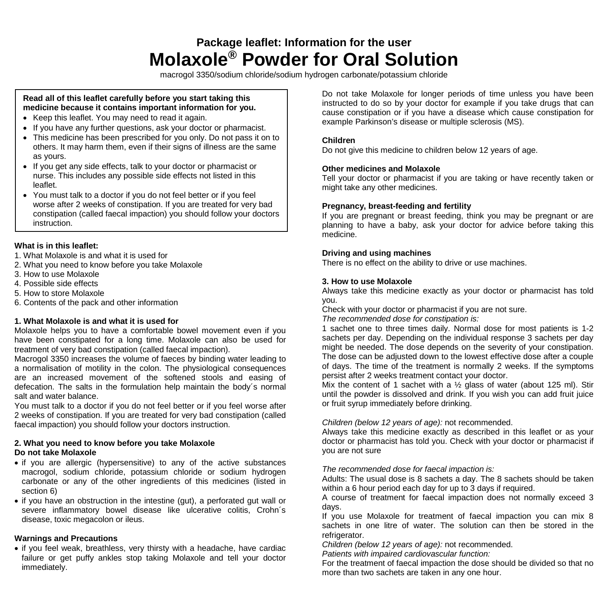# **Package leaflet: Information for the user Molaxole® Powder for Oral Solution**

macrogol 3350/sodium chloride/sodium hydrogen carbonate/potassium chloride

# **Read all of this leaflet carefully before you start taking this medicine because it contains important information for you.**

- Keep this leaflet. You may need to read it again.
- If you have any further questions, ask your doctor or pharmacist.
- This medicine has been prescribed for you only. Do not pass it on to others. It may harm them, even if their signs of illness are the same as yours.
- If you get any side effects, talk to your doctor or pharmacist or nurse. This includes any possible side effects not listed in this leaflet.
- You must talk to a doctor if you do not feel better or if you feel worse after 2 weeks of constipation. If you are treated for very bad constipation (called faecal impaction) you should follow your doctors instruction.

# **What is in this leaflet:**

- 1. What Molaxole is and what it is used for
- 2. What you need to know before you take Molaxole
- 3. How to use Molaxole
- 4. Possible side effects
- 5. How to store Molaxole
- 6. Contents of the pack and other information

#### **1. What Molaxole is and what it is used for**

Molaxole helps you to have a comfortable bowel movement even if you have been constipated for a long time. Molaxole can also be used for treatment of very bad constipation (called faecal impaction).

Macrogol 3350 increases the volume of faeces by binding water leading to a normalisation of motility in the colon. The physiological consequences are an increased movement of the softened stools and easing of defecation. The salts in the formulation help maintain the body´s normal salt and water balance.

You must talk to a doctor if you do not feel better or if you feel worse after 2 weeks of constipation. If you are treated for very bad constipation (called faecal impaction) you should follow your doctors instruction.

#### **2. What you need to know before you take Molaxole Do not take Molaxole**

- if you are allergic (hypersensitive) to any of the active substances macrogol, sodium chloride, potassium chloride or sodium hydrogen carbonate or any of the other ingredients of this medicines (listed in section 6)
- if you have an obstruction in the intestine (gut), a perforated gut wall or severe inflammatory bowel disease like ulcerative colitis. Crohn's disease, toxic megacolon or ileus.

# **Warnings and Precautions**

• if you feel weak, breathless, very thirsty with a headache, have cardiac failure or get puffy ankles stop taking Molaxole and tell your doctor immediately.

Do not take Molaxole for longer periods of time unless you have been instructed to do so by your doctor for example if you take drugs that can cause constipation or if you have a disease which cause constipation for example Parkinson's disease or multiple sclerosis (MS).

# **Children**

Do not give this medicine to children below 12 years of age.

# **Other medicines and Molaxole**

Tell your doctor or pharmacist if you are taking or have recently taken or might take any other medicines.

# **Pregnancy, breast-feeding and fertility**

If you are pregnant or breast feeding, think you may be pregnant or are planning to have a baby, ask your doctor for advice before taking this medicine.

#### **Driving and using machines**

There is no effect on the ability to drive or use machines.

#### **3. How to use Molaxole**

Always take this medicine exactly as your doctor or pharmacist has told you.

Check with your doctor or pharmacist if you are not sure.

*The recommended dose for constipation is:*

1 sachet one to three times daily. Normal dose for most patients is 1-2 sachets per day. Depending on the individual response 3 sachets per day might be needed. The dose depends on the severity of your constipation. The dose can be adjusted down to the lowest effective dose after a couple of days. The time of the treatment is normally 2 weeks. If the symptoms persist after 2 weeks treatment contact your doctor.

Mix the content of 1 sachet with a  $\frac{1}{2}$  glass of water (about 125 ml). Stir until the powder is dissolved and drink. If you wish you can add fruit juice or fruit syrup immediately before drinking.

#### *Children (below 12 years of age):* not recommended.

Always take this medicine exactly as described in this leaflet or as your doctor or pharmacist has told you. Check with your doctor or pharmacist if you are not sure

#### *The recommended dose for faecal impaction is:*

Adults: The usual dose is 8 sachets a day. The 8 sachets should be taken within a 6 hour period each day for up to 3 days if required.

A course of treatment for faecal impaction does not normally exceed 3 days.

If you use Molaxole for treatment of faecal impaction you can mix 8 sachets in one litre of water. The solution can then be stored in the refrigerator.

*Children (below 12 years of age):* not recommended.

*Patients with impaired cardiovascular function:*

For the treatment of faecal impaction the dose should be divided so that no more than two sachets are taken in any one hour.